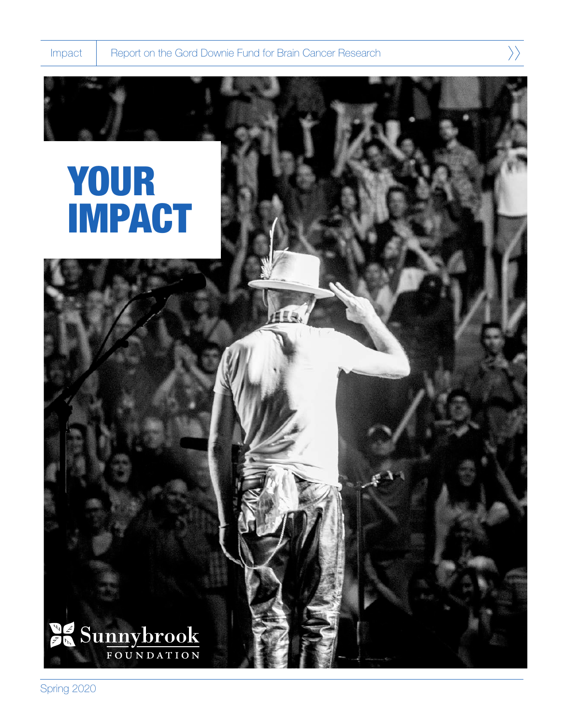$\left\langle \right\rangle$ 

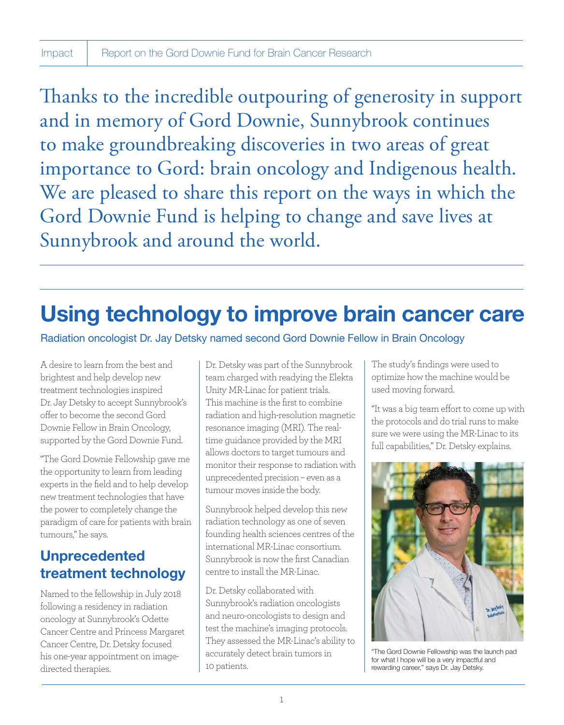Thanks to the incredible outpouring of generosity in support and in memory of Gord Downie, Sunnybrook continues to make groundbreaking discoveries in two areas of great importance to Gord: brain oncology and Indigenous health. We are pleased to share this report on the ways in which the Gord Downie Fund is helping to change and save lives at Sunnybrook and around the world.

## Using technology to improve brain cancer care

Radiation oncologist Dr. Jay Detsky named second Gord Downie Fellow in Brain Oncology

A desire to learn from the best and brightest and help develop new treatment technologies inspired Dr. Jay Detsky to accept Sunnybrook's offer to become the second Gord Downie Fellow in Brain Oncology, supported by the Gord Downie Fund.

"The Gord Downie Fellowship gave me the opportunity to learn from leading experts in the field and to help develop new treatment technologies that have the power to completely change the paradigm of care for patients with brain tumours," he says.

## Unprecedented treatment technology

Named to the fellowship in July 2018 following a residency in radiation oncology at Sunnybrook's Odette Cancer Centre and Princess Margaret Cancer Centre, Dr. Detsky focused his one-year appointment on imagedirected therapies.

Dr. Detsky was part of the Sunnybrook team charged with readying the Elekta Unity MR-Linac for patient trials. This machine is the first to combine radiation and high-resolution magnetic resonance imaging (MRI). The realtime guidance provided by the MRI allows doctors to target tumours and monitor their response to radiation with unprecedented precision – even as a tumour moves inside the body.

Sunnybrook helped develop this new radiation technology as one of seven founding health sciences centres of the international MR-Linac consortium. Sunnybrook is now the first Canadian centre to install the MR-Linac.

Dr. Detsky collaborated with Sunnybrook's radiation oncologists and neuro-oncologists to design and test the machine's imaging protocols. They assessed the MR-Linac's ability to accurately detect brain tumors in 10 patients.

The study's findings were used to optimize how the machine would be used moving forward.

"It was a big team effort to come up with the protocols and do trial runs to make sure we were using the MR-Linac to its full capabilities," Dr. Detsky explains.



"The Gord Downie Fellowship was the launch pad for what I hope will be a very impactful and rewarding career," says Dr. Jay Detsky.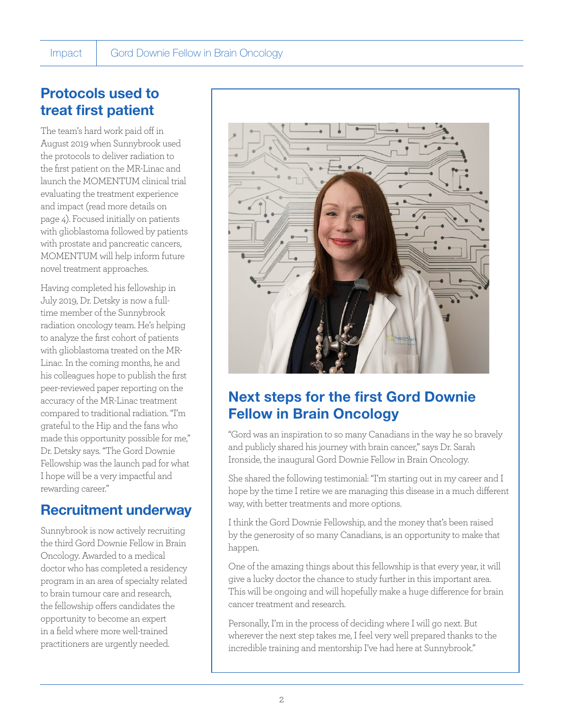## Protocols used to treat first patient

The team's hard work paid off in August 2019 when Sunnybrook used the protocols to deliver radiation to the first patient on the MR-Linac and launch the MOMENTUM clinical trial evaluating the treatment experience and impact (read more details on page 4). Focused initially on patients with glioblastoma followed by patients with prostate and pancreatic cancers, MOMENTUM will help inform future novel treatment approaches.

Having completed his fellowship in July 2019, Dr. Detsky is now a fulltime member of the Sunnybrook radiation oncology team. He's helping to analyze the first cohort of patients with glioblastoma treated on the MR-Linac. In the coming months, he and his colleagues hope to publish the first peer-reviewed paper reporting on the accuracy of the MR-Linac treatment compared to traditional radiation. "I'm grateful to the Hip and the fans who made this opportunity possible for me," Dr. Detsky says. "The Gord Downie Fellowship was the launch pad for what I hope will be a very impactful and rewarding career."

## Recruitment underway

Sunnybrook is now actively recruiting the third Gord Downie Fellow in Brain Oncology. Awarded to a medical doctor who has completed a residency program in an area of specialty related to brain tumour care and research, the fellowship offers candidates the opportunity to become an expert in a field where more well-trained practitioners are urgently needed.



## Next steps for the first Gord Downie Fellow in Brain Oncology

"Gord was an inspiration to so many Canadians in the way he so bravely and publicly shared his journey with brain cancer," says Dr. Sarah Ironside, the inaugural Gord Downie Fellow in Brain Oncology.

She shared the following testimonial: "I'm starting out in my career and I hope by the time I retire we are managing this disease in a much different way, with better treatments and more options.

I think the Gord Downie Fellowship, and the money that's been raised by the generosity of so many Canadians, is an opportunity to make that happen.

One of the amazing things about this fellowship is that every year, it will give a lucky doctor the chance to study further in this important area. This will be ongoing and will hopefully make a huge difference for brain cancer treatment and research.

Personally, I'm in the process of deciding where I will go next. But wherever the next step takes me, I feel very well prepared thanks to the incredible training and mentorship I've had here at Sunnybrook."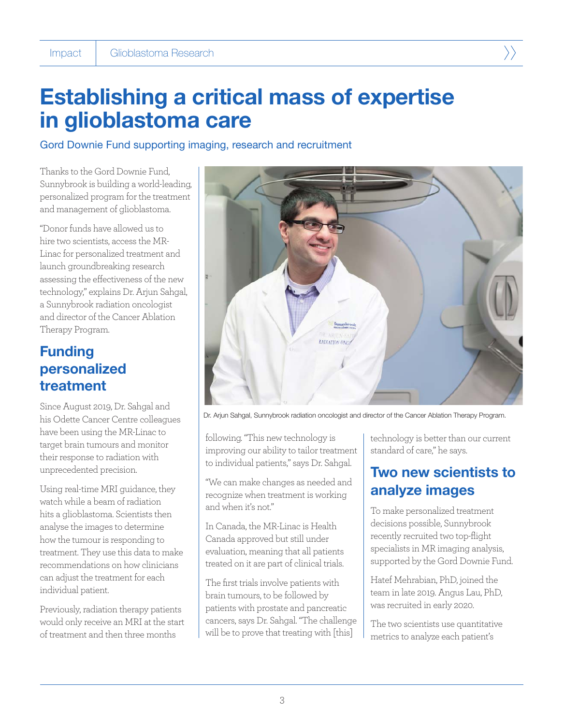## Establishing a critical mass of expertise in glioblastoma care

Gord Downie Fund supporting imaging, research and recruitment

Thanks to the Gord Downie Fund, Sunnybrook is building a world-leading, personalized program for the treatment and management of glioblastoma.

"Donor funds have allowed us to hire two scientists, access the MR-Linac for personalized treatment and launch groundbreaking research assessing the effectiveness of the new technology," explains Dr. Arjun Sahgal, a Sunnybrook radiation oncologist and director of the Cancer Ablation Therapy Program.

## Funding personalized treatment

Since August 2019, Dr. Sahgal and his Odette Cancer Centre colleagues have been using the MR-Linac to target brain tumours and monitor their response to radiation with unprecedented precision.

Using real-time MRI guidance, they watch while a beam of radiation hits a glioblastoma. Scientists then analyse the images to determine how the tumour is responding to treatment. They use this data to make recommendations on how clinicians can adjust the treatment for each individual patient.

Previously, radiation therapy patients would only receive an MRI at the start of treatment and then three months



Dr. Arjun Sahgal, Sunnybrook radiation oncologist and director of the Cancer Ablation Therapy Program.

following. "This new technology is improving our ability to tailor treatment to individual patients," says Dr. Sahgal.

"We can make changes as needed and recognize when treatment is working and when it's not."

In Canada, the MR-Linac is Health Canada approved but still under evaluation, meaning that all patients treated on it are part of clinical trials.

The first trials involve patients with brain tumours, to be followed by patients with prostate and pancreatic cancers, says Dr. Sahgal. "The challenge will be to prove that treating with [this]

technology is better than our current standard of care," he says.

## Two new scientists to analyze images

To make personalized treatment decisions possible, Sunnybrook recently recruited two top-flight specialists in MR imaging analysis, supported by the Gord Downie Fund.

Hatef Mehrabian, PhD, joined the team in late 2019. Angus Lau, PhD, was recruited in early 2020.

The two scientists use quantitative metrics to analyze each patient's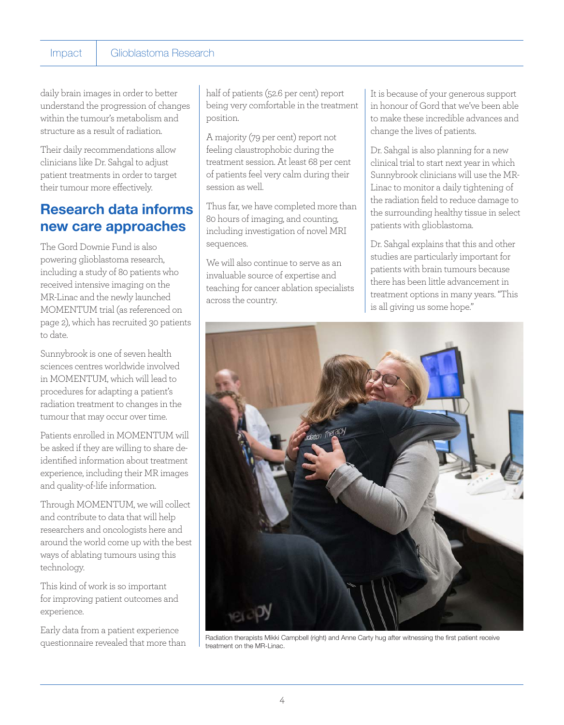#### Impact Glioblastoma Research

daily brain images in order to better understand the progression of changes within the tumour's metabolism and structure as a result of radiation.

Their daily recommendations allow clinicians like Dr. Sahgal to adjust patient treatments in order to target their tumour more effectively.

### Research data informs new care approaches

The Gord Downie Fund is also powering glioblastoma research, including a study of 80 patients who received intensive imaging on the MR-Linac and the newly launched MOMENTUM trial (as referenced on page 2), which has recruited 30 patients to date.

Sunnybrook is one of seven health sciences centres worldwide involved in MOMENTUM, which will lead to procedures for adapting a patient's radiation treatment to changes in the tumour that may occur over time.

Patients enrolled in MOMENTUM will be asked if they are willing to share deidentified information about treatment experience, including their MR images and quality-of-life information.

Through MOMENTUM, we will collect and contribute to data that will help researchers and oncologists here and around the world come up with the best ways of ablating tumours using this technology.

This kind of work is so important for improving patient outcomes and experience.

Early data from a patient experience questionnaire revealed that more than half of patients (52.6 per cent) report being very comfortable in the treatment position.

A majority (79 per cent) report not feeling claustrophobic during the treatment session. At least 68 per cent of patients feel very calm during their session as well.

Thus far, we have completed more than 80 hours of imaging, and counting, including investigation of novel MRI sequences.

We will also continue to serve as an invaluable source of expertise and teaching for cancer ablation specialists across the country.

It is because of your generous support in honour of Gord that we've been able to make these incredible advances and change the lives of patients.

Dr. Sahgal is also planning for a new clinical trial to start next year in which Sunnybrook clinicians will use the MR-Linac to monitor a daily tightening of the radiation field to reduce damage to the surrounding healthy tissue in select patients with glioblastoma.

Dr. Sahgal explains that this and other studies are particularly important for patients with brain tumours because there has been little advancement in treatment options in many years. "This is all giving us some hope."



Radiation therapists Mikki Campbell (right) and Anne Carty hug after witnessing the first patient receive treatment on the MR-Linac.

4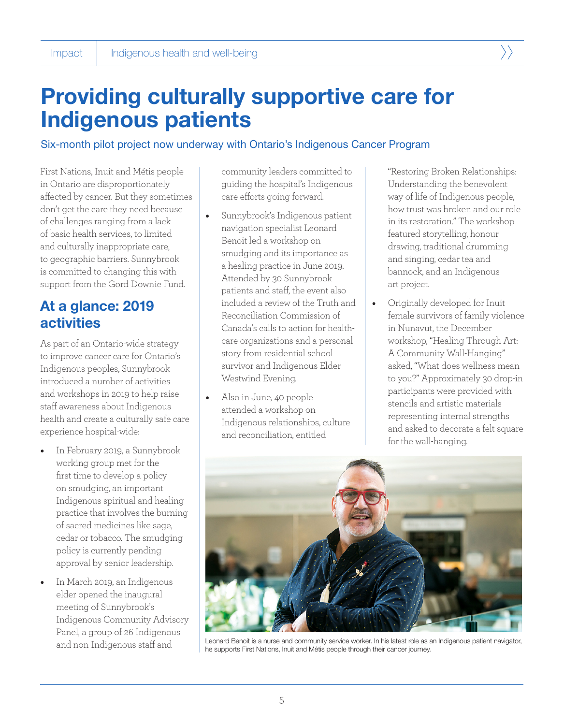

#### Six-month pilot project now underway with Ontario's Indigenous Cancer Program

First Nations, Inuit and Métis people in Ontario are disproportionately affected by cancer. But they sometimes don't get the care they need because of challenges ranging from a lack of basic health services, to limited and culturally inappropriate care, to geographic barriers. Sunnybrook is committed to changing this with support from the Gord Downie Fund.

### At a glance: 2019 **activities**

As part of an Ontario-wide strategy to improve cancer care for Ontario's Indigenous peoples, Sunnybrook introduced a number of activities and workshops in 2019 to help raise staff awareness about Indigenous health and create a culturally safe care experience hospital-wide:

- In February 2019, a Sunnybrook working group met for the first time to develop a policy on smudging, an important Indigenous spiritual and healing practice that involves the burning of sacred medicines like sage, cedar or tobacco. The smudging policy is currently pending approval by senior leadership.
- In March 2019, an Indigenous elder opened the inaugural meeting of Sunnybrook's Indigenous Community Advisory Panel, a group of 26 Indigenous and non-Indigenous staff and

community leaders committed to guiding the hospital's Indigenous care efforts going forward.

- Sunnybrook's Indigenous patient navigation specialist Leonard Benoit led a workshop on smudging and its importance as a healing practice in June 2019. Attended by 30 Sunnybrook patients and staff, the event also included a review of the Truth and Reconciliation Commission of Canada's calls to action for healthcare organizations and a personal story from residential school survivor and Indigenous Elder Westwind Evening.
- Also in June, 40 people attended a workshop on Indigenous relationships, culture and reconciliation, entitled

"Restoring Broken Relationships: Understanding the benevolent way of life of Indigenous people, how trust was broken and our role in its restoration." The workshop featured storytelling, honour drawing, traditional drumming and singing, cedar tea and bannock, and an Indigenous art project.

• Originally developed for Inuit female survivors of family violence in Nunavut, the December workshop, "Healing Through Art: A Community Wall-Hanging" asked, "What does wellness mean to you?" Approximately 30 drop-in participants were provided with stencils and artistic materials representing internal strengths and asked to decorate a felt square for the wall-hanging.



Leonard Benoit is a nurse and community service worker. In his latest role as an Indigenous patient navigator, he supports First Nations, Inuit and Métis people through their cancer journey.

5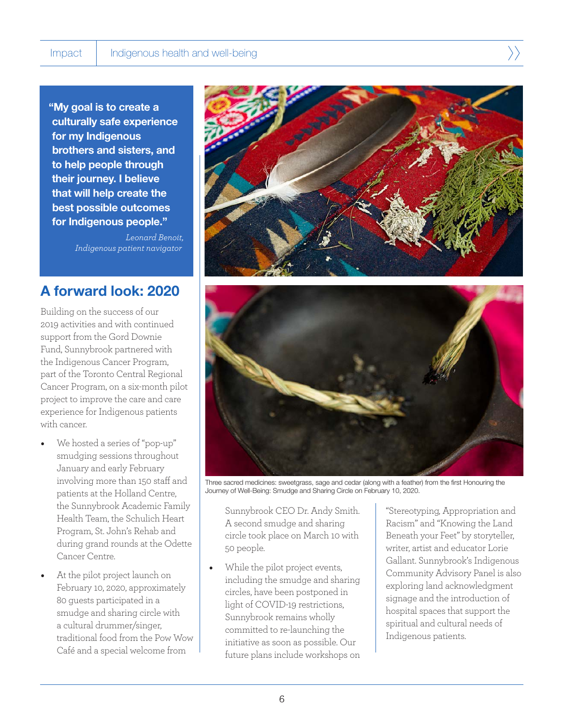"My goal is to create a culturally safe experience for my Indigenous brothers and sisters, and to help people through their journey. I believe that will help create the best possible outcomes for Indigenous people."

> *Leonard Benoit, Indigenous patient navigator*

### A forward look: 2020

Building on the success of our 2019 activities and with continued support from the Gord Downie Fund, Sunnybrook partnered with the Indigenous Cancer Program, part of the Toronto Central Regional Cancer Program, on a six-month pilot project to improve the care and care experience for Indigenous patients with cancer.

- We hosted a series of "pop-up" smudging sessions throughout January and early February involving more than 150 staff and patients at the Holland Centre, the Sunnybrook Academic Family Health Team, the Schulich Heart Program, St. John's Rehab and during grand rounds at the Odette Cancer Centre.
- At the pilot project launch on February 10, 2020, approximately 80 guests participated in a smudge and sharing circle with a cultural drummer/singer, traditional food from the Pow Wow Café and a special welcome from





Three sacred medicines: sweetgrass, sage and cedar (along with a feather) from the first Honouring the Journey of Well-Being: Smudge and Sharing Circle on February 10, 2020.

Sunnybrook CEO Dr. Andy Smith. A second smudge and sharing circle took place on March 10 with 50 people.

While the pilot project events, including the smudge and sharing circles, have been postponed in light of COVID-19 restrictions, Sunnybrook remains wholly committed to re-launching the initiative as soon as possible. Our future plans include workshops on

"Stereotyping, Appropriation and Racism" and "Knowing the Land Beneath your Feet" by storyteller, writer, artist and educator Lorie Gallant. Sunnybrook's Indigenous Community Advisory Panel is also exploring land acknowledgment signage and the introduction of hospital spaces that support the spiritual and cultural needs of Indigenous patients.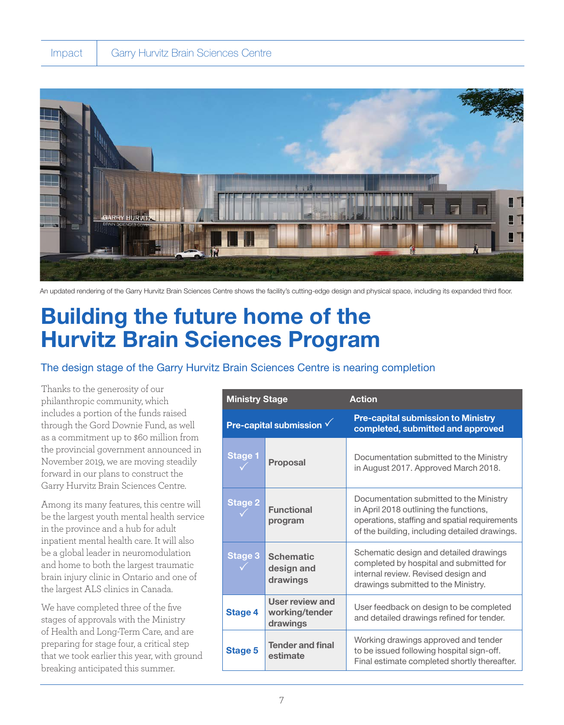

An updated rendering of the Garry Hurvitz Brain Sciences Centre shows the facility's cutting-edge design and physical space, including its expanded third floor.

## Building the future home of the Hurvitz Brain Sciences Program

#### The design stage of the Garry Hurvitz Brain Sciences Centre is nearing completion

Thanks to the generosity of our philanthropic community, which includes a portion of the funds raised through the Gord Downie Fund, as well as a commitment up to \$60 million from the provincial government announced in November 2019, we are moving steadily forward in our plans to construct the Garry Hurvitz Brain Sciences Centre.

Among its many features, this centre will be the largest youth mental health service in the province and a hub for adult inpatient mental health care. It will also be a global leader in neuromodulation and home to both the largest traumatic brain injury clinic in Ontario and one of the largest ALS clinics in Canada.

We have completed three of the five stages of approvals with the Ministry of Health and Long-Term Care, and are preparing for stage four, a critical step that we took earlier this year, with ground breaking anticipated this summer.

| <b>Ministry Stage</b>            |                                                      | <b>Action</b>                                                                                                                                                                       |
|----------------------------------|------------------------------------------------------|-------------------------------------------------------------------------------------------------------------------------------------------------------------------------------------|
| Pre-capital submission $\sqrt{}$ |                                                      | <b>Pre-capital submission to Ministry</b><br>completed, submitted and approved                                                                                                      |
| <b>Stage 1</b>                   | <b>Proposal</b>                                      | Documentation submitted to the Ministry<br>in August 2017. Approved March 2018.                                                                                                     |
| <b>Stage 2</b>                   | <b>Functional</b><br>program                         | Documentation submitted to the Ministry<br>in April 2018 outlining the functions,<br>operations, staffing and spatial requirements<br>of the building, including detailed drawings. |
| <b>Stage 3</b>                   | <b>Schematic</b><br>design and<br>drawings           | Schematic design and detailed drawings<br>completed by hospital and submitted for<br>internal review. Revised design and<br>drawings submitted to the Ministry.                     |
| <b>Stage 4</b>                   | <b>User review and</b><br>working/tender<br>drawings | User feedback on design to be completed<br>and detailed drawings refined for tender.                                                                                                |
| <b>Stage 5</b>                   | <b>Tender and final</b><br>estimate                  | Working drawings approved and tender<br>to be issued following hospital sign-off.<br>Final estimate completed shortly thereafter.                                                   |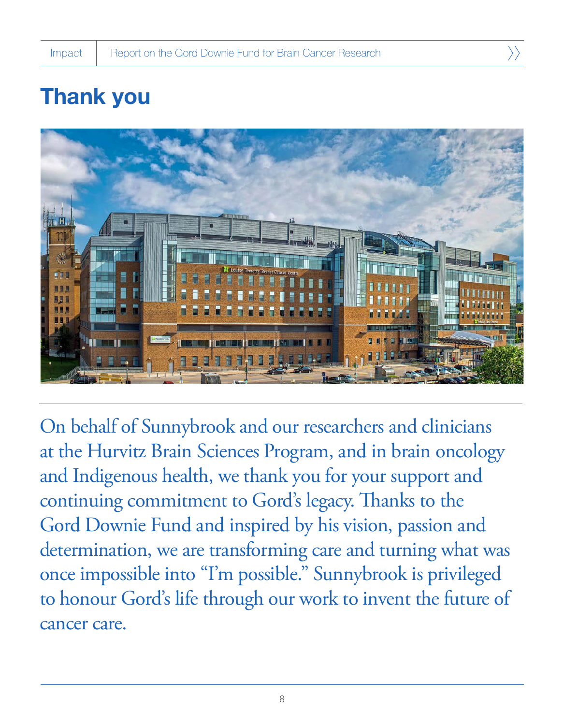$\rangle$ 

# Thank you



On behalf of Sunnybrook and our researchers and clinicians at the Hurvitz Brain Sciences Program, and in brain oncology and Indigenous health, we thank you for your support and continuing commitment to Gord's legacy. Thanks to the Gord Downie Fund and inspired by his vision, passion and determination, we are transforming care and turning what was once impossible into "I'm possible." Sunnybrook is privileged to honour Gord's life through our work to invent the future of cancer care.